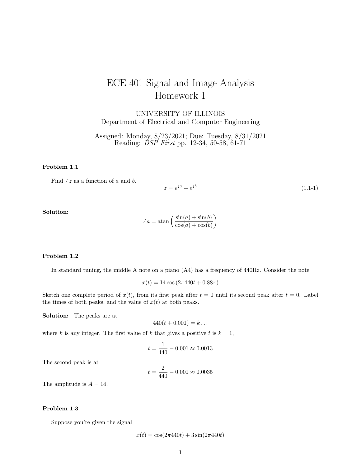# ECE 401 Signal and Image Analysis Homework 1

UNIVERSITY OF ILLINOIS Department of Electrical and Computer Engineering

Assigned: Monday, 8/23/2021; Due: Tuesday, 8/31/2021 Reading: *DSP First* pp. 12-34, 50-58, 61-71

## Problem 1.1

Find  $\angle z$  as a function of a and b.

$$
z = e^{ja} + e^{jb} \tag{1.1-1}
$$

Solution:

$$
\angle a = \operatorname{atan}\left(\frac{\sin(a) + \sin(b)}{\cos(a) + \cos(b)}\right)
$$

#### Problem 1.2

In standard tuning, the middle A note on a piano (A4) has a frequency of 440Hz. Consider the note

$$
x(t) = 14 \cos(2\pi 440t + 0.88\pi)
$$

Sketch one complete period of  $x(t)$ , from its first peak after  $t = 0$  until its second peak after  $t = 0$ . Label the times of both peaks, and the value of  $x(t)$  at both peaks.

Solution: The peaks are at

$$
440(t + 0.001) = k \dots
$$

where k is any integer. The first value of k that gives a positive t is  $k = 1$ ,

$$
t = \frac{1}{440} - 0.001 \approx 0.0013
$$

The second peak is at

$$
t = \frac{2}{440} - 0.001 \approx 0.0035
$$

The amplitude is  $A = 14$ .

#### Problem 1.3

Suppose you're given the signal

$$
x(t) = \cos(2\pi 440t) + 3\sin(2\pi 440t)
$$